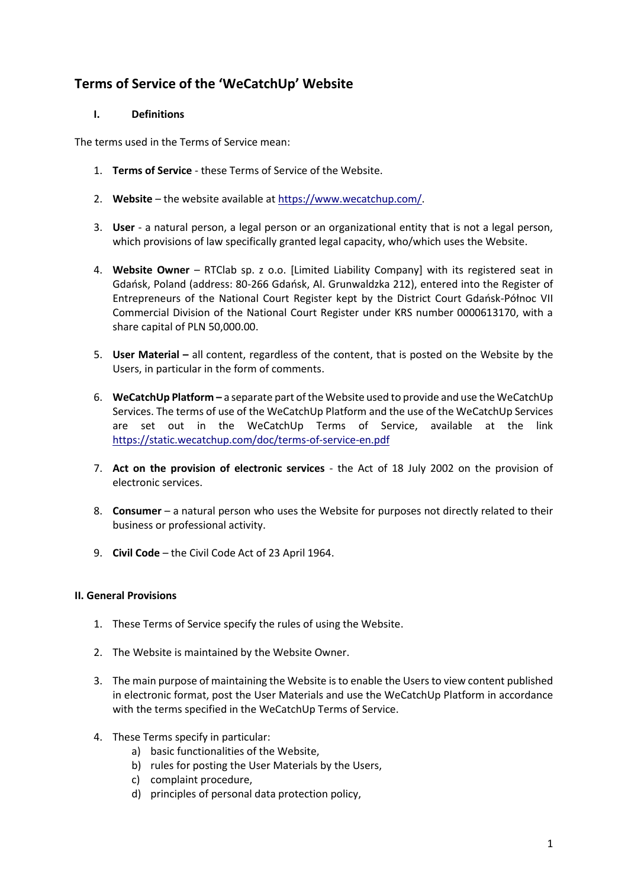# **Terms of Service of the 'WeCatchUp' Website**

# **I. Definitions**

The terms used in the Terms of Service mean:

- 1. **Terms of Service** these Terms of Service of the Website.
- 2. **Website** the website available at [https://www.wecatchup.com/.](https://www.wecatchup.com/)
- 3. **User** a natural person, a legal person or an organizational entity that is not a legal person, which provisions of law specifically granted legal capacity, who/which uses the Website.
- 4. **Website Owner** RTClab sp. z o.o. [Limited Liability Company] with its registered seat in Gdańsk, Poland (address: 80-266 Gdańsk, Al. Grunwaldzka 212), entered into the Register of Entrepreneurs of the National Court Register kept by the District Court Gdańsk-Północ VII Commercial Division of the National Court Register under KRS number 0000613170, with a share capital of PLN 50,000.00.
- 5. **User Material –** all content, regardless of the content, that is posted on the Website by the Users, in particular in the form of comments.
- 6. **WeCatchUp Platform –** a separate part of the Website used to provide and use the WeCatchUp Services. The terms of use of the WeCatchUp Platform and the use of the WeCatchUp Services are set out in the WeCatchUp Terms of Service, available at the link <https://static.wecatchup.com/doc/terms-of-service-en.pdf>
- 7. **Act on the provision of electronic services** the Act of 18 July 2002 on the provision of electronic services.
- 8. **Consumer** a natural person who uses the Website for purposes not directly related to their business or professional activity.
- 9. **Civil Code** the Civil Code Act of 23 April 1964.

# **II. General Provisions**

- 1. These Terms of Service specify the rules of using the Website.
- 2. The Website is maintained by the Website Owner.
- 3. The main purpose of maintaining the Website is to enable the Users to view content published in electronic format, post the User Materials and use the WeCatchUp Platform in accordance with the terms specified in the WeCatchUp Terms of Service.
- 4. These Terms specify in particular:
	- a) basic functionalities of the Website,
	- b) rules for posting the User Materials by the Users,
	- c) complaint procedure,
	- d) principles of personal data protection policy,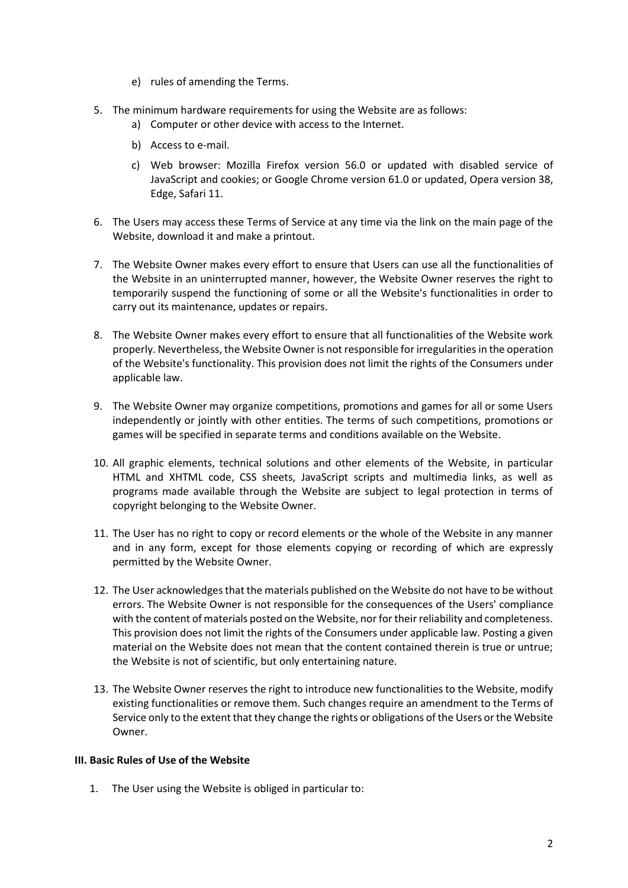- e) rules of amending the Terms.
- 5. The minimum hardware requirements for using the Website are as follows:
	- a) Computer or other device with access to the Internet.
	- b) Access to e-mail.
	- c) Web browser: Mozilla Firefox version 56.0 or updated with disabled service of JavaScript and cookies; or Google Chrome version 61.0 or updated, Opera version 38, Edge, Safari 11.
- 6. The Users may access these Terms of Service at any time via the link on the main page of the Website, download it and make a printout.
- 7. The Website Owner makes every effort to ensure that Users can use all the functionalities of the Website in an uninterrupted manner, however, the Website Owner reserves the right to temporarily suspend the functioning of some or all the Website's functionalities in order to carry out its maintenance, updates or repairs.
- 8. The Website Owner makes every effort to ensure that all functionalities of the Website work properly. Nevertheless, the Website Owner is not responsible for irregularitiesin the operation of the Website's functionality. This provision does not limit the rights of the Consumers under applicable law.
- 9. The Website Owner may organize competitions, promotions and games for all or some Users independently or jointly with other entities. The terms of such competitions, promotions or games will be specified in separate terms and conditions available on the Website.
- 10. All graphic elements, technical solutions and other elements of the Website, in particular HTML and XHTML code, CSS sheets, JavaScript scripts and multimedia links, as well as programs made available through the Website are subject to legal protection in terms of copyright belonging to the Website Owner.
- 11. The User has no right to copy or record elements or the whole of the Website in any manner and in any form, except for those elements copying or recording of which are expressly permitted by the Website Owner.
- 12. The User acknowledges that the materials published on the Website do not have to be without errors. The Website Owner is not responsible for the consequences of the Users' compliance with the content of materials posted on the Website, nor for their reliability and completeness. This provision does not limit the rights of the Consumers under applicable law. Posting a given material on the Website does not mean that the content contained therein is true or untrue; the Website is not of scientific, but only entertaining nature.
- 13. The Website Owner reserves the right to introduce new functionalities to the Website, modify existing functionalities or remove them. Such changes require an amendment to the Terms of Service only to the extent that they change the rights or obligations of the Users or the Website Owner.

# **III. Basic Rules of Use of the Website**

1. The User using the Website is obliged in particular to: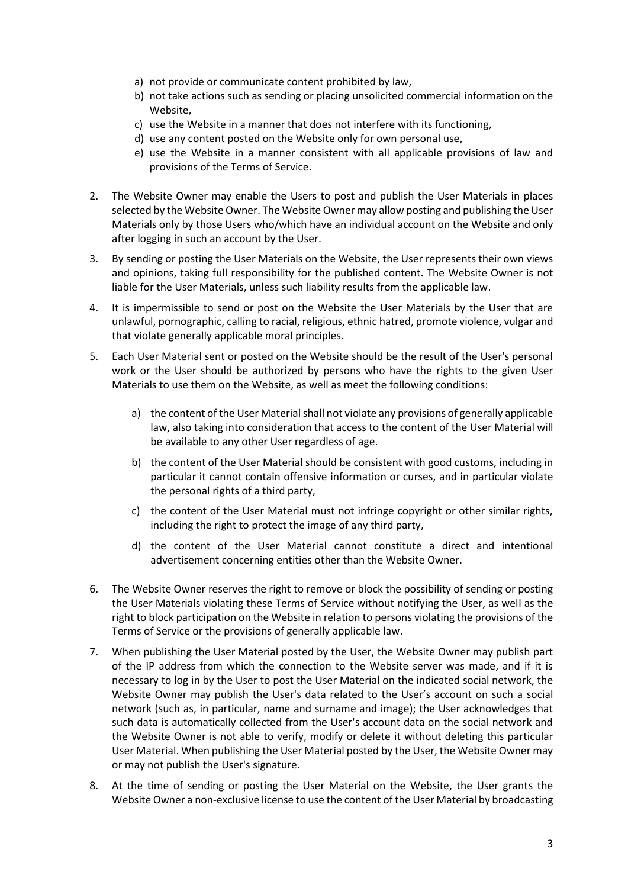- a) not provide or communicate content prohibited by law,
- b) not take actions such as sending or placing unsolicited commercial information on the Website,
- c) use the Website in a manner that does not interfere with its functioning,
- d) use any content posted on the Website only for own personal use,
- e) use the Website in a manner consistent with all applicable provisions of law and provisions of the Terms of Service.
- 2. The Website Owner may enable the Users to post and publish the User Materials in places selected by the Website Owner. The Website Owner may allow posting and publishing the User Materials only by those Users who/which have an individual account on the Website and only after logging in such an account by the User.
- 3. By sending or posting the User Materials on the Website, the User represents their own views and opinions, taking full responsibility for the published content. The Website Owner is not liable for the User Materials, unless such liability results from the applicable law.
- 4. It is impermissible to send or post on the Website the User Materials by the User that are unlawful, pornographic, calling to racial, religious, ethnic hatred, promote violence, vulgar and that violate generally applicable moral principles.
- 5. Each User Material sent or posted on the Website should be the result of the User's personal work or the User should be authorized by persons who have the rights to the given User Materials to use them on the Website, as well as meet the following conditions:
	- a) the content of the User Material shall not violate any provisions of generally applicable law, also taking into consideration that access to the content of the User Material will be available to any other User regardless of age.
	- b) the content of the User Material should be consistent with good customs, including in particular it cannot contain offensive information or curses, and in particular violate the personal rights of a third party,
	- c) the content of the User Material must not infringe copyright or other similar rights, including the right to protect the image of any third party,
	- d) the content of the User Material cannot constitute a direct and intentional advertisement concerning entities other than the Website Owner.
- 6. The Website Owner reserves the right to remove or block the possibility of sending or posting the User Materials violating these Terms of Service without notifying the User, as well as the right to block participation on the Website in relation to persons violating the provisions of the Terms of Service or the provisions of generally applicable law.
- 7. When publishing the User Material posted by the User, the Website Owner may publish part of the IP address from which the connection to the Website server was made, and if it is necessary to log in by the User to post the User Material on the indicated social network, the Website Owner may publish the User's data related to the User's account on such a social network (such as, in particular, name and surname and image); the User acknowledges that such data is automatically collected from the User's account data on the social network and the Website Owner is not able to verify, modify or delete it without deleting this particular User Material. When publishing the User Material posted by the User, the Website Owner may or may not publish the User's signature.
- 8. At the time of sending or posting the User Material on the Website, the User grants the Website Owner a non-exclusive license to use the content of the User Material by broadcasting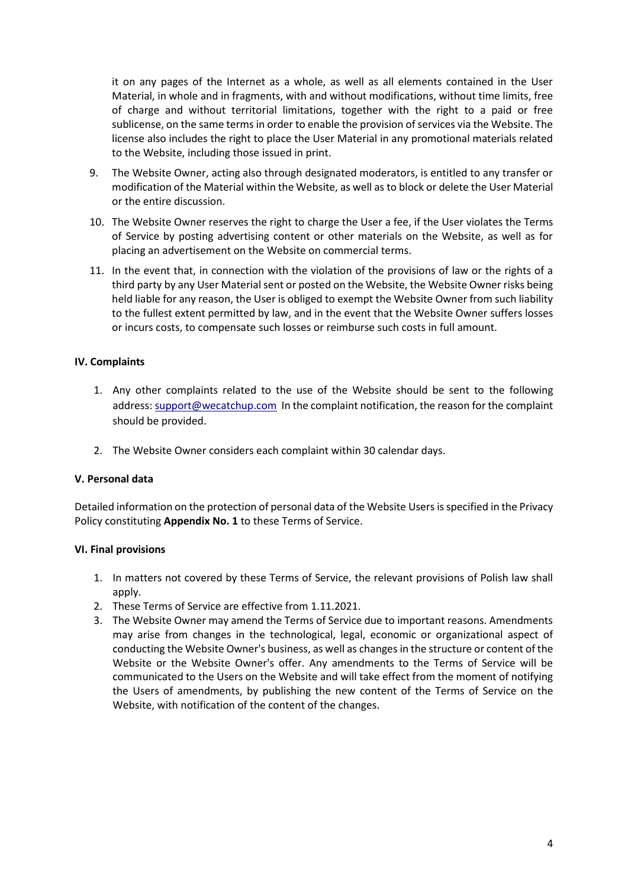it on any pages of the Internet as a whole, as well as all elements contained in the User Material, in whole and in fragments, with and without modifications, without time limits, free of charge and without territorial limitations, together with the right to a paid or free sublicense, on the same terms in order to enable the provision of services via the Website. The license also includes the right to place the User Material in any promotional materials related to the Website, including those issued in print.

- 9. The Website Owner, acting also through designated moderators, is entitled to any transfer or modification of the Material within the Website, as well as to block or delete the User Material or the entire discussion.
- 10. The Website Owner reserves the right to charge the User a fee, if the User violates the Terms of Service by posting advertising content or other materials on the Website, as well as for placing an advertisement on the Website on commercial terms.
- 11. In the event that, in connection with the violation of the provisions of law or the rights of a third party by any User Material sent or posted on the Website, the Website Owner risks being held liable for any reason, the User is obliged to exempt the Website Owner from such liability to the fullest extent permitted by law, and in the event that the Website Owner suffers losses or incurs costs, to compensate such losses or reimburse such costs in full amount.

# **IV. Complaints**

- 1. Any other complaints related to the use of the Website should be sent to the following address: [support@wecatchup.com](mailto:support@wecatchup.com) In the complaint notification, the reason for the complaint should be provided.
- 2. The Website Owner considers each complaint within 30 calendar days.

### **V. Personal data**

Detailed information on the protection of personal data of the Website Users is specified in the Privacy Policy constituting **Appendix No. 1** to these Terms of Service.

### **VI. Final provisions**

- 1. In matters not covered by these Terms of Service, the relevant provisions of Polish law shall apply.
- 2. These Terms of Service are effective from 1.11.2021.
- 3. The Website Owner may amend the Terms of Service due to important reasons. Amendments may arise from changes in the technological, legal, economic or organizational aspect of conducting the Website Owner's business, as well as changes in the structure or content of the Website or the Website Owner's offer. Any amendments to the Terms of Service will be communicated to the Users on the Website and will take effect from the moment of notifying the Users of amendments, by publishing the new content of the Terms of Service on the Website, with notification of the content of the changes.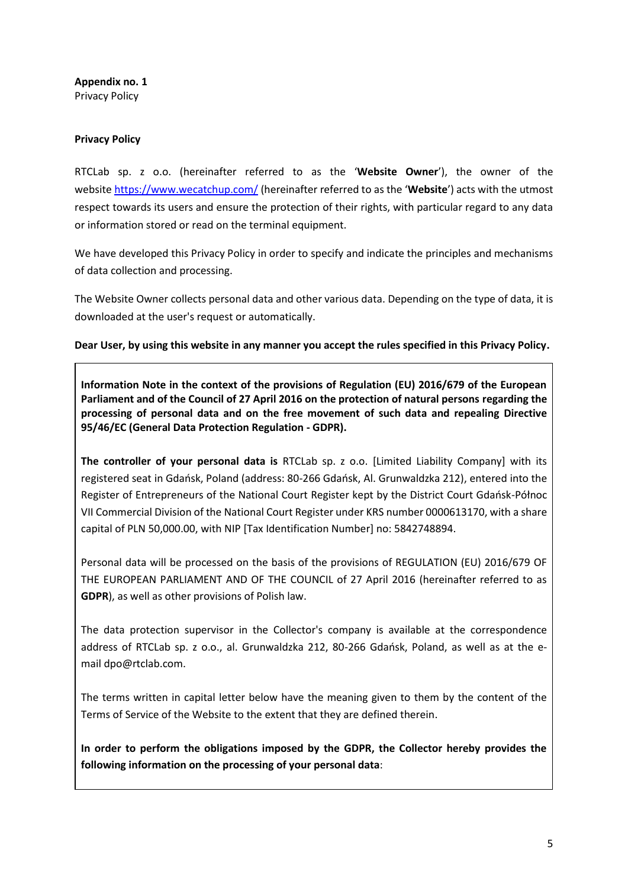**Appendix no. 1**  Privacy Policy

### **Privacy Policy**

RTCLab sp. z o.o. (hereinafter referred to as the '**Website Owner**'), the owner of the website https://www.wecatchup.com/ (hereinafter referred to as the '**Website**') acts with the utmost respect towards its users and ensure the protection of their rights, with particular regard to any data or information stored or read on the terminal equipment.

We have developed this Privacy Policy in order to specify and indicate the principles and mechanisms of data collection and processing.

The Website Owner collects personal data and other various data. Depending on the type of data, it is downloaded at the user's request or automatically.

**Dear User, by using this website in any manner you accept the rules specified in this Privacy Policy.**

**Information Note in the context of the provisions of Regulation (EU) 2016/679 of the European Parliament and of the Council of 27 April 2016 on the protection of natural persons regarding the processing of personal data and on the free movement of such data and repealing Directive 95/46/EC (General Data Protection Regulation - GDPR).**

**The controller of your personal data is** RTCLab sp. z o.o. [Limited Liability Company] with its registered seat in Gdańsk, Poland (address: 80-266 Gdańsk, Al. Grunwaldzka 212), entered into the Register of Entrepreneurs of the National Court Register kept by the District Court Gdańsk-Północ VII Commercial Division of the National Court Register under KRS number 0000613170, with a share capital of PLN 50,000.00, with NIP [Tax Identification Number] no: 5842748894.

Personal data will be processed on the basis of the provisions of REGULATION (EU) 2016/679 OF THE EUROPEAN PARLIAMENT AND OF THE COUNCIL of 27 April 2016 (hereinafter referred to as **GDPR**), as well as other provisions of Polish law.

The data protection supervisor in the Collector's company is available at the correspondence address of RTCLab sp. z o.o., al. Grunwaldzka 212, 80-266 Gdańsk, Poland, as well as at the email dpo@rtclab.com.

The terms written in capital letter below have the meaning given to them by the content of the Terms of Service of the Website to the extent that they are defined therein.

**In order to perform the obligations imposed by the GDPR, the Collector hereby provides the following information on the processing of your personal data**: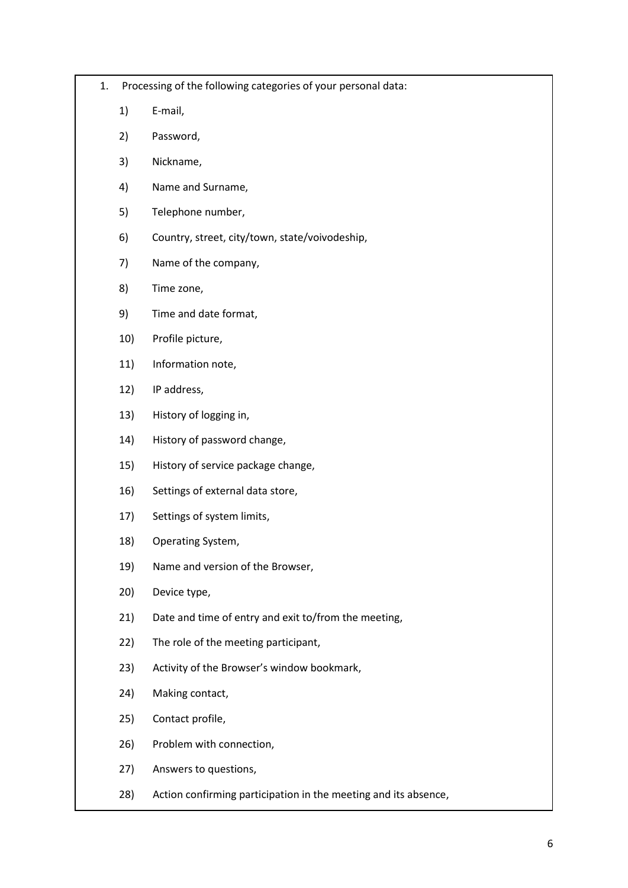- 1. Processing of the following categories of your personal data:
	- 1) E-mail,
	- 2) Password,
	- 3) Nickname,
	- 4) Name and Surname,
	- 5) Telephone number,
	- 6) Country, street, city/town, state/voivodeship,
	- 7) Name of the company,
	- 8) Time zone,
	- 9) Time and date format,
	- 10) Profile picture,
	- 11) Information note,
	- 12) IP address,
	- 13) History of logging in,
	- 14) History of password change,
	- 15) History of service package change,
	- 16) Settings of external data store,
	- 17) Settings of system limits,
	- 18) Operating System,
	- 19) Name and version of the Browser,
	- 20) Device type,
	- 21) Date and time of entry and exit to/from the meeting,
	- 22) The role of the meeting participant,
	- 23) Activity of the Browser's window bookmark,
	- 24) Making contact,
	- 25) Contact profile,
	- 26) Problem with connection,
	- 27) Answers to questions,
	- 28) Action confirming participation in the meeting and its absence,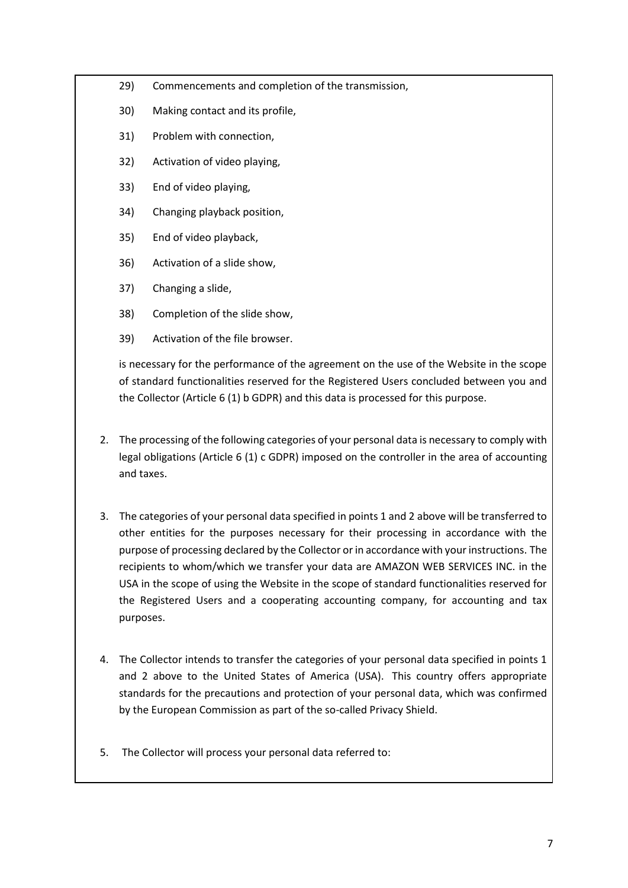- 29) Commencements and completion of the transmission,
- 30) Making contact and its profile,
- 31) Problem with connection,
- 32) Activation of video playing,
- 33) End of video playing,
- 34) Changing playback position,
- 35) End of video playback,
- 36) Activation of a slide show,
- 37) Changing a slide,
- 38) Completion of the slide show,
- 39) Activation of the file browser.

is necessary for the performance of the agreement on the use of the Website in the scope of standard functionalities reserved for the Registered Users concluded between you and the Collector (Article 6 (1) b GDPR) and this data is processed for this purpose.

- 2. The processing of the following categories of your personal data is necessary to comply with legal obligations (Article 6 (1) c GDPR) imposed on the controller in the area of accounting and taxes.
- 3. The categories of your personal data specified in points 1 and 2 above will be transferred to other entities for the purposes necessary for their processing in accordance with the purpose of processing declared by the Collector or in accordance with your instructions. The recipients to whom/which we transfer your data are AMAZON WEB SERVICES INC. in the USA in the scope of using the Website in the scope of standard functionalities reserved for the Registered Users and a cooperating accounting company, for accounting and tax purposes.
- 4. The Collector intends to transfer the categories of your personal data specified in points 1 and 2 above to the United States of America (USA). This country offers appropriate standards for the precautions and protection of your personal data, which was confirmed by the European Commission as part of the so-called Privacy Shield.
- 5. The Collector will process your personal data referred to: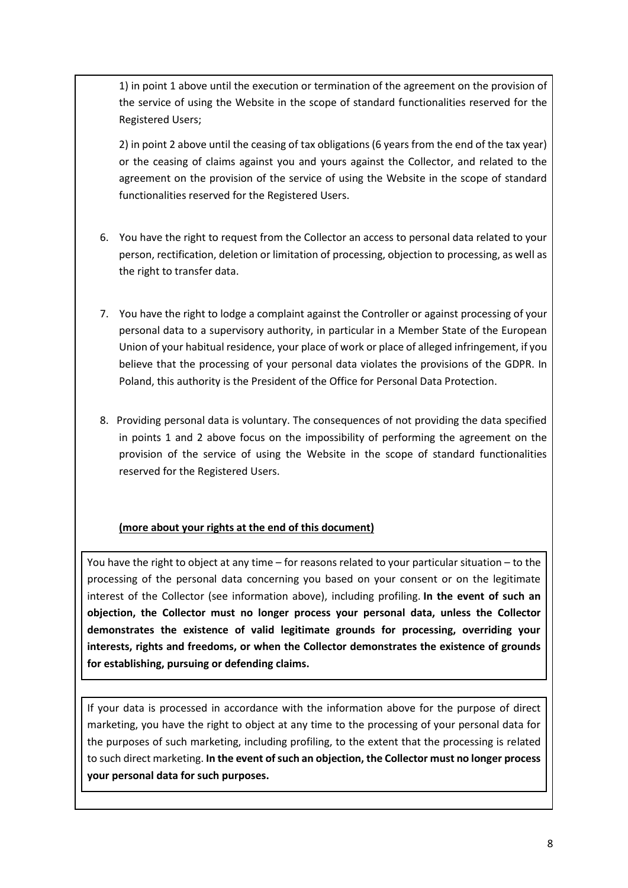1) in point 1 above until the execution or termination of the agreement on the provision of the service of using the Website in the scope of standard functionalities reserved for the Registered Users;

2) in point 2 above until the ceasing of tax obligations (6 years from the end of the tax year) or the ceasing of claims against you and yours against the Collector, and related to the agreement on the provision of the service of using the Website in the scope of standard functionalities reserved for the Registered Users.

- 6. You have the right to request from the Collector an access to personal data related to your person, rectification, deletion or limitation of processing, objection to processing, as well as the right to transfer data.
- 7. You have the right to lodge a complaint against the Controller or against processing of your personal data to a supervisory authority, in particular in a Member State of the European Union of your habitual residence, your place of work or place of alleged infringement, if you believe that the processing of your personal data violates the provisions of the GDPR. In Poland, this authority is the President of the Office for Personal Data Protection.
- 8. Providing personal data is voluntary. The consequences of not providing the data specified in points 1 and 2 above focus on the impossibility of performing the agreement on the provision of the service of using the Website in the scope of standard functionalities reserved for the Registered Users.

# **(more about your rights at the end of this document)**

You have the right to object at any time – for reasons related to your particular situation – to the processing of the personal data concerning you based on your consent or on the legitimate interest of the Collector (see information above), including profiling. **In the event of such an objection, the Collector must no longer process your personal data, unless the Collector demonstrates the existence of valid legitimate grounds for processing, overriding your interests, rights and freedoms, or when the Collector demonstrates the existence of grounds for establishing, pursuing or defending claims.**

If your data is processed in accordance with the information above for the purpose of direct marketing, you have the right to object at any time to the processing of your personal data for the purposes of such marketing, including profiling, to the extent that the processing is related to such direct marketing. **In the event of such an objection, the Collector must no longer process your personal data for such purposes.**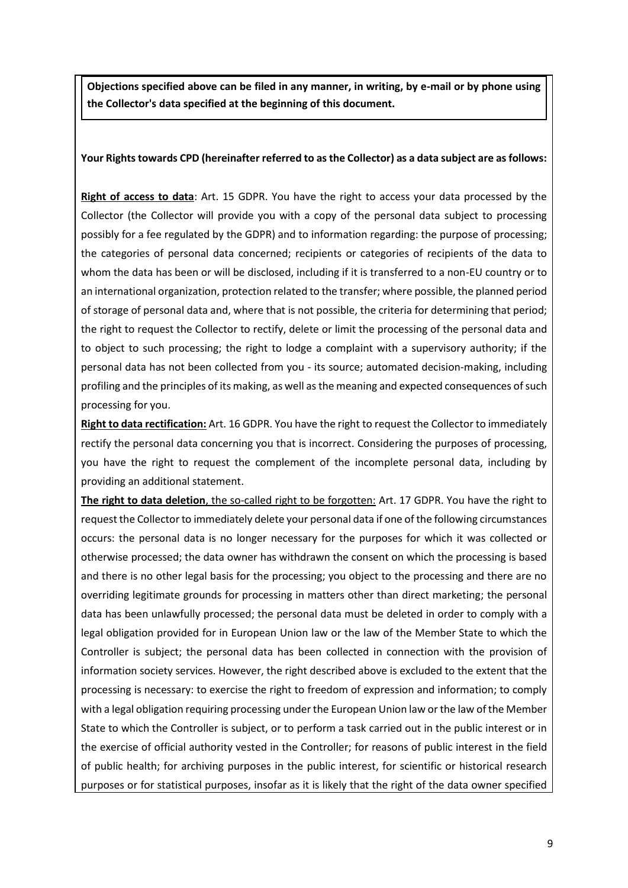**Objections specified above can be filed in any manner, in writing, by e-mail or by phone using the Collector's data specified at the beginning of this document.**

### **Your Rights towards CPD (hereinafter referred to as the Collector) as a data subject are as follows:**

**Right of access to data**: Art. 15 GDPR. You have the right to access your data processed by the Collector (the Collector will provide you with a copy of the personal data subject to processing possibly for a fee regulated by the GDPR) and to information regarding: the purpose of processing; the categories of personal data concerned; recipients or categories of recipients of the data to whom the data has been or will be disclosed, including if it is transferred to a non-EU country or to an international organization, protection related to the transfer; where possible, the planned period of storage of personal data and, where that is not possible, the criteria for determining that period; the right to request the Collector to rectify, delete or limit the processing of the personal data and to object to such processing; the right to lodge a complaint with a supervisory authority; if the personal data has not been collected from you - its source; automated decision-making, including profiling and the principles of its making, as well asthe meaning and expected consequences of such processing for you.

**Right to data rectification:** Art. 16 GDPR. You have the right to request the Collector to immediately rectify the personal data concerning you that is incorrect. Considering the purposes of processing, you have the right to request the complement of the incomplete personal data, including by providing an additional statement.

**The right to data deletion**, the so-called right to be forgotten: Art. 17 GDPR. You have the right to request the Collector to immediately delete your personal data if one of the following circumstances occurs: the personal data is no longer necessary for the purposes for which it was collected or otherwise processed; the data owner has withdrawn the consent on which the processing is based and there is no other legal basis for the processing; you object to the processing and there are no overriding legitimate grounds for processing in matters other than direct marketing; the personal data has been unlawfully processed; the personal data must be deleted in order to comply with a legal obligation provided for in European Union law or the law of the Member State to which the Controller is subject; the personal data has been collected in connection with the provision of information society services. However, the right described above is excluded to the extent that the processing is necessary: to exercise the right to freedom of expression and information; to comply with a legal obligation requiring processing under the European Union law or the law of the Member State to which the Controller is subject, or to perform a task carried out in the public interest or in the exercise of official authority vested in the Controller; for reasons of public interest in the field of public health; for archiving purposes in the public interest, for scientific or historical research purposes or for statistical purposes, insofar as it is likely that the right of the data owner specified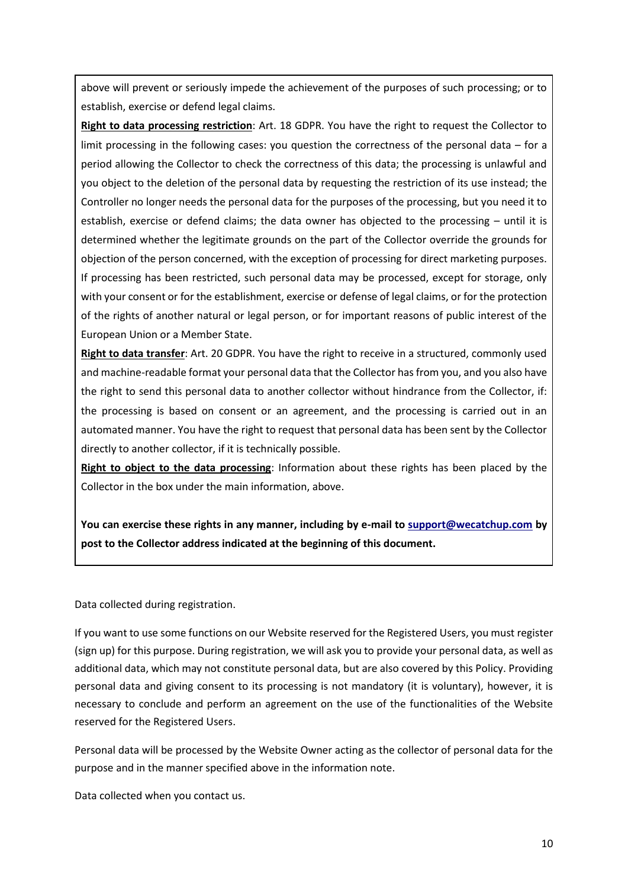above will prevent or seriously impede the achievement of the purposes of such processing; or to establish, exercise or defend legal claims.

**Right to data processing restriction**: Art. 18 GDPR. You have the right to request the Collector to limit processing in the following cases: you question the correctness of the personal data – for a period allowing the Collector to check the correctness of this data; the processing is unlawful and you object to the deletion of the personal data by requesting the restriction of its use instead; the Controller no longer needs the personal data for the purposes of the processing, but you need it to establish, exercise or defend claims; the data owner has objected to the processing – until it is determined whether the legitimate grounds on the part of the Collector override the grounds for objection of the person concerned, with the exception of processing for direct marketing purposes. If processing has been restricted, such personal data may be processed, except for storage, only with your consent or for the establishment, exercise or defense of legal claims, or for the protection of the rights of another natural or legal person, or for important reasons of public interest of the European Union or a Member State.

**Right to data transfer**: Art. 20 GDPR. You have the right to receive in a structured, commonly used and machine-readable format your personal data that the Collector has from you, and you also have the right to send this personal data to another collector without hindrance from the Collector, if: the processing is based on consent or an agreement, and the processing is carried out in an automated manner. You have the right to request that personal data has been sent by the Collector directly to another collector, if it is technically possible.

**Right to object to the data processing**: Information about these rights has been placed by the Collector in the box under the main information, above.

**You can exercise these rights in any manner, including by e-mail to [support@wecatchup.com](mailto:support@wecatchup.com) by post to the Collector address indicated at the beginning of this document.**

Data collected during registration.

If you want to use some functions on our Website reserved for the Registered Users, you must register (sign up) for this purpose. During registration, we will ask you to provide your personal data, as well as additional data, which may not constitute personal data, but are also covered by this Policy. Providing personal data and giving consent to its processing is not mandatory (it is voluntary), however, it is necessary to conclude and perform an agreement on the use of the functionalities of the Website reserved for the Registered Users.

Personal data will be processed by the Website Owner acting as the collector of personal data for the purpose and in the manner specified above in the information note.

Data collected when you contact us.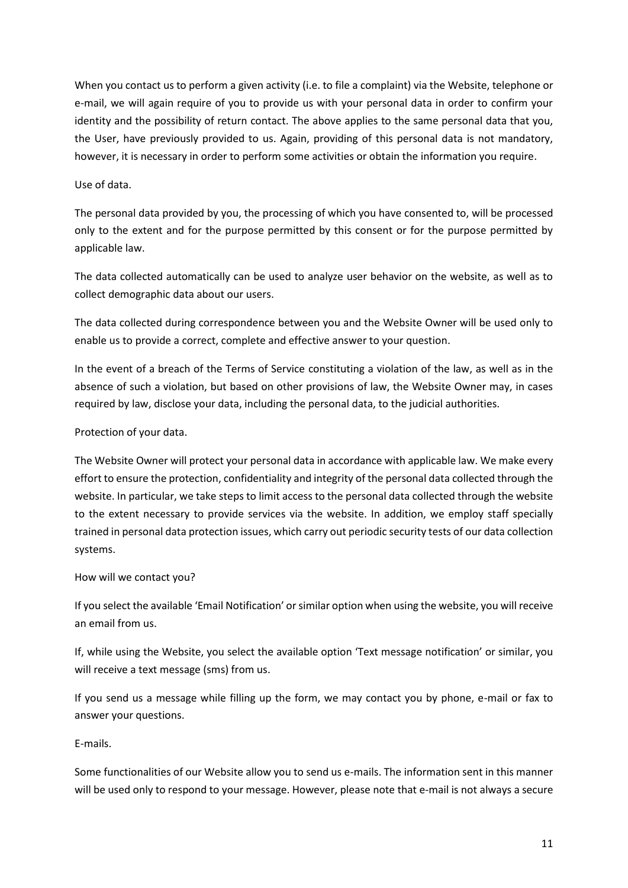When you contact us to perform a given activity (i.e. to file a complaint) via the Website, telephone or e-mail, we will again require of you to provide us with your personal data in order to confirm your identity and the possibility of return contact. The above applies to the same personal data that you, the User, have previously provided to us. Again, providing of this personal data is not mandatory, however, it is necessary in order to perform some activities or obtain the information you require.

### Use of data.

The personal data provided by you, the processing of which you have consented to, will be processed only to the extent and for the purpose permitted by this consent or for the purpose permitted by applicable law.

The data collected automatically can be used to analyze user behavior on the website, as well as to collect demographic data about our users.

The data collected during correspondence between you and the Website Owner will be used only to enable us to provide a correct, complete and effective answer to your question.

In the event of a breach of the Terms of Service constituting a violation of the law, as well as in the absence of such a violation, but based on other provisions of law, the Website Owner may, in cases required by law, disclose your data, including the personal data, to the judicial authorities.

### Protection of your data.

The Website Owner will protect your personal data in accordance with applicable law. We make every effort to ensure the protection, confidentiality and integrity of the personal data collected through the website. In particular, we take steps to limit access to the personal data collected through the website to the extent necessary to provide services via the website. In addition, we employ staff specially trained in personal data protection issues, which carry out periodic security tests of our data collection systems.

# How will we contact you?

If you select the available 'Email Notification' or similar option when using the website, you will receive an email from us.

If, while using the Website, you select the available option 'Text message notification' or similar, you will receive a text message (sms) from us.

If you send us a message while filling up the form, we may contact you by phone, e-mail or fax to answer your questions.

E-mails.

Some functionalities of our Website allow you to send us e-mails. The information sent in this manner will be used only to respond to your message. However, please note that e-mail is not always a secure